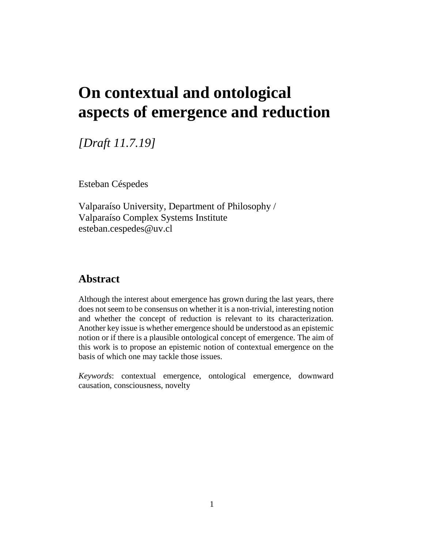# **On contextual and ontological aspects of emergence and reduction**

*[Draft 11.7.19]*

Esteban Céspedes

Valparaíso University, Department of Philosophy / Valparaíso Complex Systems Institute esteban.cespedes@uv.cl

# **Abstract**

Although the interest about emergence has grown during the last years, there does not seem to be consensus on whether it is a non-trivial, interesting notion and whether the concept of reduction is relevant to its characterization. Another key issue is whether emergence should be understood as an epistemic notion or if there is a plausible ontological concept of emergence. The aim of this work is to propose an epistemic notion of contextual emergence on the basis of which one may tackle those issues.

*Keywords*: contextual emergence, ontological emergence, downward causation, consciousness, novelty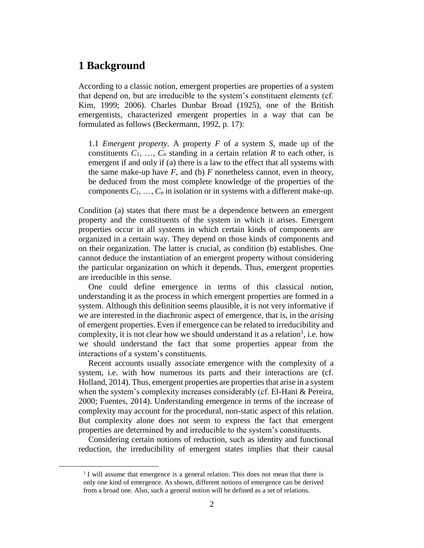# **1 Background**

 $\overline{a}$ 

According to a classic notion, emergent properties are properties of a system that depend on, but are irreducible to the system's constituent elements (cf. Kim, 1999; 2006). Charles Dunbar Broad (1925), one of the British emergentists, characterized emergent properties in a way that can be formulated as follows (Beckermann, 1992, p. 17):

1.1 *Emergent property*. A property *F* of a system *S*, made up of the constituents  $C_1$ , ...,  $C_n$  standing in a certain relation R to each other, is emergent if and only if (a) there is a law to the effect that all systems with the same make-up have  $F$ , and (b)  $F$  nonetheless cannot, even in theory, be deduced from the most complete knowledge of the properties of the components  $C_1, \ldots, C_n$  in isolation or in systems with a different make-up.

Condition (a) states that there must be a dependence between an emergent property and the constituents of the system in which it arises. Emergent properties occur in all systems in which certain kinds of components are organized in a certain way. They depend on those kinds of components and on their organization. The latter is crucial, as condition (b) establishes. One cannot deduce the instantiation of an emergent property without considering the particular organization on which it depends. Thus, emergent properties are irreducible in this sense.

One could define emergence in terms of this classical notion, understanding it as the process in which emergent properties are formed in a system. Although this definition seems plausible, it is not very informative if we are interested in the diachronic aspect of emergence, that is, in the *arising* of emergent properties. Even if emergence can be related to irreducibility and complexity, it is not clear how we should understand it as a relation<sup>1</sup>, i.e. how we should understand the fact that some properties appear from the interactions of a system's constituents.

Recent accounts usually associate emergence with the complexity of a system, i.e. with how numerous its parts and their interactions are (cf. Holland, 2014). Thus, emergent properties are properties that arise in a system when the system's complexity increases considerably (cf. El-Hani & Pereira, 2000; Fuentes, 2014). Understanding emergence in terms of the increase of complexity may account for the procedural, non-static aspect of this relation. But complexity alone does not seem to express the fact that emergent properties are determined by and irreducible to the system's constituents.

Considering certain notions of reduction, such as identity and functional reduction, the irreducibility of emergent states implies that their causal

<sup>&</sup>lt;sup>1</sup> I will assume that emergence is a general relation. This does not mean that there is only one kind of emergence. As shown, different notions of emergence can be derived from a broad one. Also, such a general notion will be defined as a set of relations.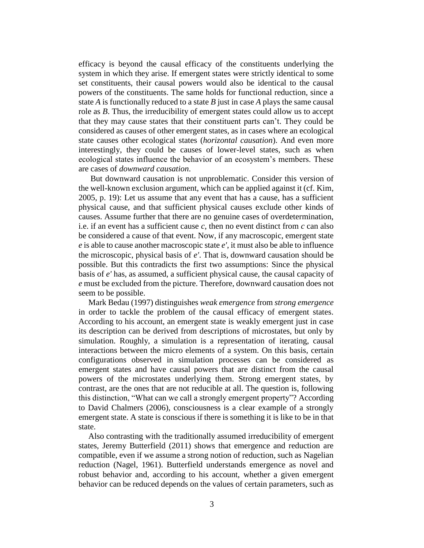efficacy is beyond the causal efficacy of the constituents underlying the system in which they arise. If emergent states were strictly identical to some set constituents, their causal powers would also be identical to the causal powers of the constituents. The same holds for functional reduction, since a state *A* is functionally reduced to a state *B* just in case *A* plays the same causal role as *B*. Thus, the irreducibility of emergent states could allow us to accept that they may cause states that their constituent parts can't. They could be considered as causes of other emergent states, as in cases where an ecological state causes other ecological states (*horizontal causation*). And even more interestingly, they could be causes of lower-level states, such as when ecological states influence the behavior of an ecosystem's members. These are cases of *downward causation*.

But downward causation is not unproblematic. Consider this version of the well-known exclusion argument, which can be applied against it (cf. Kim, 2005, p. 19): Let us assume that any event that has a cause, has a sufficient physical cause, and that sufficient physical causes exclude other kinds of causes. Assume further that there are no genuine cases of overdetermination, i.e. if an event has a sufficient cause *c*, then no event distinct from *c* can also be considered a cause of that event. Now, if any macroscopic, emergent state *e* is able to cause another macroscopic state *e'*, it must also be able to influence the microscopic, physical basis of *e'*. That is, downward causation should be possible. But this contradicts the first two assumptions: Since the physical basis of *e'* has, as assumed, a sufficient physical cause, the causal capacity of *e* must be excluded from the picture. Therefore, downward causation does not seem to be possible.

Mark Bedau (1997) distinguishes *weak emergence* from *strong emergence* in order to tackle the problem of the causal efficacy of emergent states. According to his account, an emergent state is weakly emergent just in case its description can be derived from descriptions of microstates, but only by simulation. Roughly, a simulation is a representation of iterating, causal interactions between the micro elements of a system. On this basis, certain configurations observed in simulation processes can be considered as emergent states and have causal powers that are distinct from the causal powers of the microstates underlying them. Strong emergent states, by contrast, are the ones that are not reducible at all. The question is, following this distinction, "What can we call a strongly emergent property"? According to David Chalmers (2006), consciousness is a clear example of a strongly emergent state. A state is conscious if there is something it is like to be in that state.

Also contrasting with the traditionally assumed irreducibility of emergent states, Jeremy Butterfield (2011) shows that emergence and reduction are compatible, even if we assume a strong notion of reduction, such as Nagelian reduction (Nagel, 1961). Butterfield understands emergence as novel and robust behavior and, according to his account, whether a given emergent behavior can be reduced depends on the values of certain parameters, such as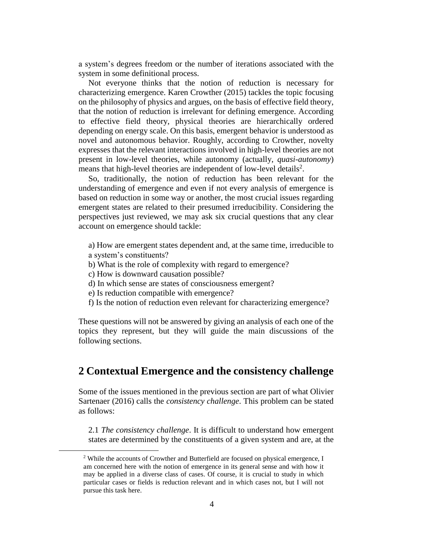a system's degrees freedom or the number of iterations associated with the system in some definitional process.

Not everyone thinks that the notion of reduction is necessary for characterizing emergence. Karen Crowther (2015) tackles the topic focusing on the philosophy of physics and argues, on the basis of effective field theory, that the notion of reduction is irrelevant for defining emergence. According to effective field theory, physical theories are hierarchically ordered depending on energy scale. On this basis, emergent behavior is understood as novel and autonomous behavior. Roughly, according to Crowther, novelty expresses that the relevant interactions involved in high-level theories are not present in low-level theories, while autonomy (actually, *quasi-autonomy*) means that high-level theories are independent of low-level details<sup>2</sup>.

So, traditionally, the notion of reduction has been relevant for the understanding of emergence and even if not every analysis of emergence is based on reduction in some way or another, the most crucial issues regarding emergent states are related to their presumed irreducibility. Considering the perspectives just reviewed, we may ask six crucial questions that any clear account on emergence should tackle:

- a) How are emergent states dependent and, at the same time, irreducible to a system's constituents?
- b) What is the role of complexity with regard to emergence?
- c) How is downward causation possible?

 $\overline{a}$ 

- d) In which sense are states of consciousness emergent?
- e) Is reduction compatible with emergence?
- f) Is the notion of reduction even relevant for characterizing emergence?

These questions will not be answered by giving an analysis of each one of the topics they represent, but they will guide the main discussions of the following sections.

# **2 Contextual Emergence and the consistency challenge**

Some of the issues mentioned in the previous section are part of what Olivier Sartenaer (2016) calls the *consistency challenge*. This problem can be stated as follows:

2.1 *The consistency challenge*. It is difficult to understand how emergent states are determined by the constituents of a given system and are, at the

<sup>&</sup>lt;sup>2</sup> While the accounts of Crowther and Butterfield are focused on physical emergence, I am concerned here with the notion of emergence in its general sense and with how it may be applied in a diverse class of cases. Of course, it is crucial to study in which particular cases or fields is reduction relevant and in which cases not, but I will not pursue this task here.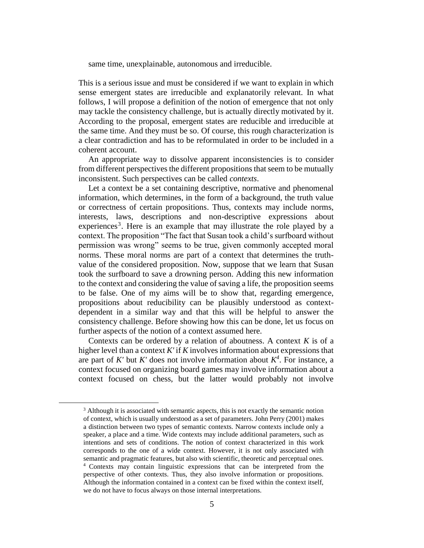same time, unexplainable, autonomous and irreducible.

This is a serious issue and must be considered if we want to explain in which sense emergent states are irreducible and explanatorily relevant. In what follows, I will propose a definition of the notion of emergence that not only may tackle the consistency challenge, but is actually directly motivated by it. According to the proposal, emergent states are reducible and irreducible at the same time. And they must be so. Of course, this rough characterization is a clear contradiction and has to be reformulated in order to be included in a coherent account.

An appropriate way to dissolve apparent inconsistencies is to consider from different perspectives the different propositions that seem to be mutually inconsistent. Such perspectives can be called *contexts*.

Let a context be a set containing descriptive, normative and phenomenal information, which determines, in the form of a background, the truth value or correctness of certain propositions. Thus, contexts may include norms, interests, laws, descriptions and non-descriptive expressions about experiences<sup>3</sup>. Here is an example that may illustrate the role played by a context. The proposition "The fact that Susan took a child's surfboard without permission was wrong" seems to be true, given commonly accepted moral norms. These moral norms are part of a context that determines the truthvalue of the considered proposition. Now, suppose that we learn that Susan took the surfboard to save a drowning person. Adding this new information to the context and considering the value of saving a life, the proposition seems to be false. One of my aims will be to show that, regarding emergence, propositions about reducibility can be plausibly understood as contextdependent in a similar way and that this will be helpful to answer the consistency challenge. Before showing how this can be done, let us focus on further aspects of the notion of a context assumed here.

Contexts can be ordered by a relation of aboutness. A context *K* is of a higher level than a context *K'* if *K* involves information about expressions that are part of  $K'$  but  $K'$  does not involve information about  $K^4$ . For instance, a context focused on organizing board games may involve information about a context focused on chess, but the latter would probably not involve

<sup>&</sup>lt;sup>3</sup> Although it is associated with semantic aspects, this is not exactly the semantic notion of context, which is usually understood as a set of parameters. John Perry (2001) makes a distinction between two types of semantic contexts. Narrow contexts include only a speaker, a place and a time. Wide contexts may include additional parameters, such as intentions and sets of conditions. The notion of context characterized in this work corresponds to the one of a wide context. However, it is not only associated with semantic and pragmatic features, but also with scientific, theoretic and perceptual ones. <sup>4</sup> Contexts may contain linguistic expressions that can be interpreted from the perspective of other contexts. Thus, they also involve information or propositions. Although the information contained in a context can be fixed within the context itself, we do not have to focus always on those internal interpretations.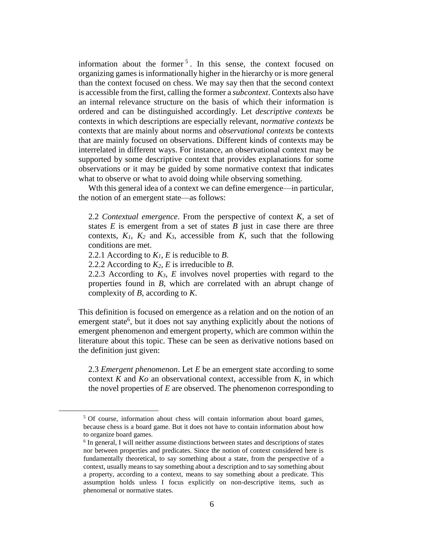information about the former  $5$ . In this sense, the context focused on organizing games is informationally higher in the hierarchy or is more general than the context focused on chess. We may say then that the second context is accessible from the first, calling the former a *subcontext*. Contexts also have an internal relevance structure on the basis of which their information is ordered and can be distinguished accordingly. Let *descriptive contexts* be contexts in which descriptions are especially relevant, *normative contexts* be contexts that are mainly about norms and *observational contexts* be contexts that are mainly focused on observations. Different kinds of contexts may be interrelated in different ways. For instance, an observational context may be supported by some descriptive context that provides explanations for some observations or it may be guided by some normative context that indicates what to observe or what to avoid doing while observing something.

Wth this general idea of a context we can define emergence—in particular, the notion of an emergent state—as follows:

2.2 *Contextual emergence*. From the perspective of context *K*, a set of states  $E$  is emergent from a set of states  $B$  just in case there are three contexts,  $K_1$ ,  $K_2$  and  $K_3$ , accessible from  $K$ , such that the following conditions are met.

2.2.1 According to *K1*, *E* is reducible to *B*.

 $\overline{a}$ 

2.2.2 According to *K2*, *E* is irreducible to *B*.

2.2.3 According to  $K_3$ ,  $E$  involves novel properties with regard to the properties found in *B*, which are correlated with an abrupt change of complexity of *B*, according to *K*.

This definition is focused on emergence as a relation and on the notion of an emergent state<sup>6</sup>, but it does not say anything explicitly about the notions of emergent phenomenon and emergent property, which are common within the literature about this topic. These can be seen as derivative notions based on the definition just given:

2.3 *Emergent phenomenon*. Let *E* be an emergent state according to some context *K* and *Ko* an observational context, accessible from *K*, in which the novel properties of *E* are observed. The phenomenon corresponding to

<sup>&</sup>lt;sup>5</sup> Of course, information about chess will contain information about board games, because chess is a board game. But it does not have to contain information about how to organize board games.

<sup>&</sup>lt;sup>6</sup> In general, I will neither assume distinctions between states and descriptions of states nor between properties and predicates. Since the notion of context considered here is fundamentally theoretical, to say something about a state, from the perspective of a context, usually means to say something about a description and to say something about a property, according to a context, means to say something about a predicate. This assumption holds unless I focus explicitly on non-descriptive items, such as phenomenal or normative states.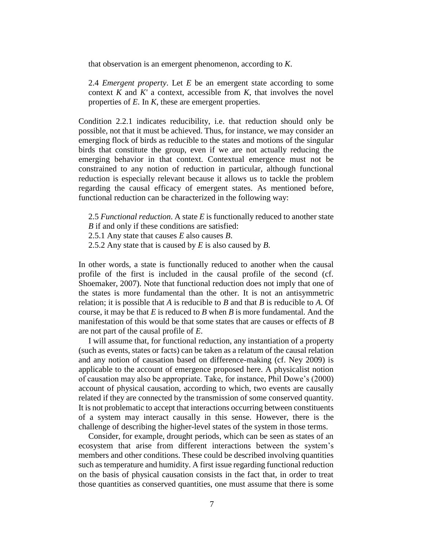that observation is an emergent phenomenon, according to *K*.

2.4 *Emergent property*. Let *E* be an emergent state according to some context *K* and *K'* a context, accessible from *K*, that involves the novel properties of *E*. In *K*, these are emergent properties.

Condition 2.2.1 indicates reducibility, i.e. that reduction should only be possible, not that it must be achieved. Thus, for instance, we may consider an emerging flock of birds as reducible to the states and motions of the singular birds that constitute the group, even if we are not actually reducing the emerging behavior in that context. Contextual emergence must not be constrained to any notion of reduction in particular, although functional reduction is especially relevant because it allows us to tackle the problem regarding the causal efficacy of emergent states. As mentioned before, functional reduction can be characterized in the following way:

2.5 *Functional reduction*. A state *E* is functionally reduced to another state *B* if and only if these conditions are satisfied:

2.5.1 Any state that causes *E* also causes *B*.

2.5.2 Any state that is caused by *E* is also caused by *B*.

In other words, a state is functionally reduced to another when the causal profile of the first is included in the causal profile of the second (cf. Shoemaker, 2007). Note that functional reduction does not imply that one of the states is more fundamental than the other. It is not an antisymmetric relation; it is possible that *A* is reducible to *B* and that *B* is reducible to *A*. Of course, it may be that *E* is reduced to *B* when *B* is more fundamental. And the manifestation of this would be that some states that are causes or effects of *B* are not part of the causal profile of *E*.

I will assume that, for functional reduction, any instantiation of a property (such as events, states or facts) can be taken as a relatum of the causal relation and any notion of causation based on difference-making (cf. Ney 2009) is applicable to the account of emergence proposed here. A physicalist notion of causation may also be appropriate. Take, for instance, Phil Dowe's (2000) account of physical causation, according to which, two events are causally related if they are connected by the transmission of some conserved quantity. It is not problematic to accept that interactions occurring between constituents of a system may interact causally in this sense. However, there is the challenge of describing the higher-level states of the system in those terms.

Consider, for example, drought periods, which can be seen as states of an ecosystem that arise from different interactions between the system's members and other conditions. These could be described involving quantities such as temperature and humidity. A first issue regarding functional reduction on the basis of physical causation consists in the fact that, in order to treat those quantities as conserved quantities, one must assume that there is some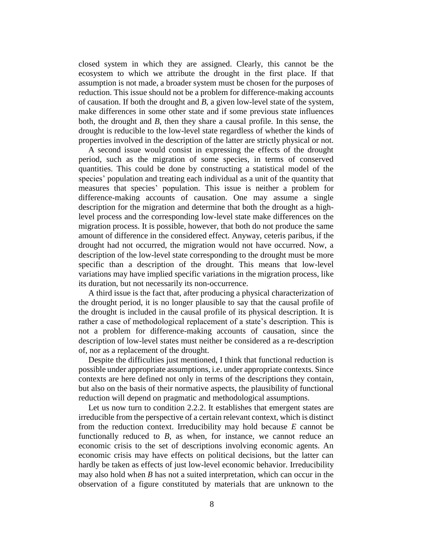closed system in which they are assigned. Clearly, this cannot be the ecosystem to which we attribute the drought in the first place. If that assumption is not made, a broader system must be chosen for the purposes of reduction. This issue should not be a problem for difference-making accounts of causation. If both the drought and *B*, a given low-level state of the system, make differences in some other state and if some previous state influences both, the drought and *B*, then they share a causal profile. In this sense, the drought is reducible to the low-level state regardless of whether the kinds of properties involved in the description of the latter are strictly physical or not.

A second issue would consist in expressing the effects of the drought period, such as the migration of some species, in terms of conserved quantities. This could be done by constructing a statistical model of the species' population and treating each individual as a unit of the quantity that measures that species' population. This issue is neither a problem for difference-making accounts of causation. One may assume a single description for the migration and determine that both the drought as a highlevel process and the corresponding low-level state make differences on the migration process. It is possible, however, that both do not produce the same amount of difference in the considered effect. Anyway, ceteris paribus, if the drought had not occurred, the migration would not have occurred. Now, a description of the low-level state corresponding to the drought must be more specific than a description of the drought. This means that low-level variations may have implied specific variations in the migration process, like its duration, but not necessarily its non-occurrence.

A third issue is the fact that, after producing a physical characterization of the drought period, it is no longer plausible to say that the causal profile of the drought is included in the causal profile of its physical description. It is rather a case of methodological replacement of a state's description. This is not a problem for difference-making accounts of causation, since the description of low-level states must neither be considered as a re-description of, nor as a replacement of the drought.

Despite the difficulties just mentioned, I think that functional reduction is possible under appropriate assumptions, i.e. under appropriate contexts. Since contexts are here defined not only in terms of the descriptions they contain, but also on the basis of their normative aspects, the plausibility of functional reduction will depend on pragmatic and methodological assumptions.

Let us now turn to condition 2.2.2. It establishes that emergent states are irreducible from the perspective of a certain relevant context, which is distinct from the reduction context. Irreducibility may hold because *E* cannot be functionally reduced to *B*, as when, for instance, we cannot reduce an economic crisis to the set of descriptions involving economic agents. An economic crisis may have effects on political decisions, but the latter can hardly be taken as effects of just low-level economic behavior. Irreducibility may also hold when *B* has not a suited interpretation, which can occur in the observation of a figure constituted by materials that are unknown to the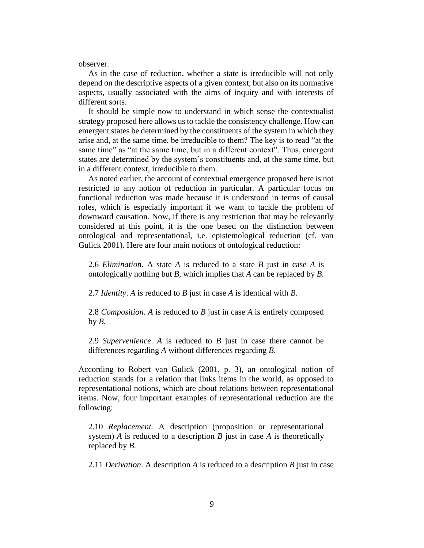observer.

As in the case of reduction, whether a state is irreducible will not only depend on the descriptive aspects of a given context, but also on its normative aspects, usually associated with the aims of inquiry and with interests of different sorts.

It should be simple now to understand in which sense the contextualist strategy proposed here allows us to tackle the consistency challenge. How can emergent states be determined by the constituents of the system in which they arise and, at the same time, be irreducible to them? The key is to read "at the same time" as "at the same time, but in a different context". Thus, emergent states are determined by the system's constituents and, at the same time, but in a different context, irreducible to them.

As noted earlier, the account of contextual emergence proposed here is not restricted to any notion of reduction in particular. A particular focus on functional reduction was made because it is understood in terms of causal roles, which is especially important if we want to tackle the problem of downward causation. Now, if there is any restriction that may be relevantly considered at this point, it is the one based on the distinction between ontological and representational, i.e. epistemological reduction (cf. van Gulick 2001). Here are four main notions of ontological reduction:

2.6 *Elimination*. A state *A* is reduced to a state *B* just in case *A* is ontologically nothing but *B*, which implies that *A* can be replaced by *B*.

2.7 *Identity*. *A* is reduced to *B* just in case *A* is identical with *B*.

2.8 *Composition*. *A* is reduced to *B* just in case *A* is entirely composed by  $B$ .

2.9 *Supervenience*. *A* is reduced to *B* just in case there cannot be differences regarding *A* without differences regarding *B*.

According to Robert van Gulick (2001, p. 3), an ontological notion of reduction stands for a relation that links items in the world, as opposed to representational notions, which are about relations between representational items. Now, four important examples of representational reduction are the following:

2.10 *Replacement.* A description (proposition or representational system) *A* is reduced to a description *B* just in case *A* is theoretically replaced by *B*.

2.11 *Derivation*. A description *A* is reduced to a description *B* just in case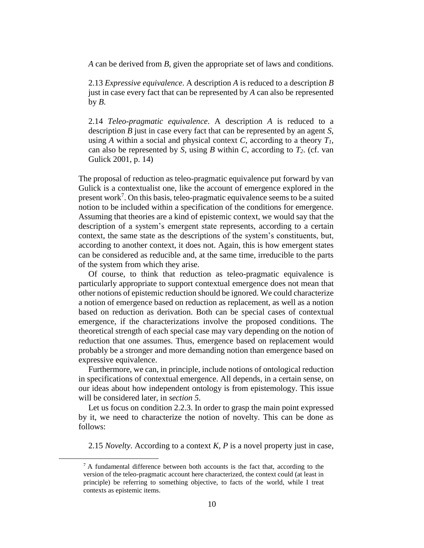*A* can be derived from *B*, given the appropriate set of laws and conditions.

2.13 *Expressive equivalence*. A description *A* is reduced to a description *B* just in case every fact that can be represented by *A* can also be represented by  $B$ .

2.14 *Teleo-pragmatic equivalence*. A description *A* is reduced to a description *B* just in case every fact that can be represented by an agent *S*, using *A* within a social and physical context *C*, according to a theory  $T_I$ , can also be represented by *S*, using *B* within *C*, according to *T2*. (cf. van Gulick 2001, p. 14)

The proposal of reduction as teleo-pragmatic equivalence put forward by van Gulick is a contextualist one, like the account of emergence explored in the present work<sup>7</sup>. On this basis, teleo-pragmatic equivalence seems to be a suited notion to be included within a specification of the conditions for emergence. Assuming that theories are a kind of epistemic context, we would say that the description of a system's emergent state represents, according to a certain context, the same state as the descriptions of the system's constituents, but, according to another context, it does not. Again, this is how emergent states can be considered as reducible and, at the same time, irreducible to the parts of the system from which they arise.

Of course, to think that reduction as teleo-pragmatic equivalence is particularly appropriate to support contextual emergence does not mean that other notions of epistemic reduction should be ignored. We could characterize a notion of emergence based on reduction as replacement, as well as a notion based on reduction as derivation. Both can be special cases of contextual emergence, if the characterizations involve the proposed conditions. The theoretical strength of each special case may vary depending on the notion of reduction that one assumes. Thus, emergence based on replacement would probably be a stronger and more demanding notion than emergence based on expressive equivalence.

Furthermore, we can, in principle, include notions of ontological reduction in specifications of contextual emergence. All depends, in a certain sense, on our ideas about how independent ontology is from epistemology. This issue will be considered later, in *section 5*.

Let us focus on condition 2.2.3. In order to grasp the main point expressed by it, we need to characterize the notion of novelty. This can be done as follows:

2.15 *Novelty*. According to a context *K*, *P* is a novel property just in case,

 $<sup>7</sup>$  A fundamental difference between both accounts is the fact that, according to the</sup> version of the teleo-pragmatic account here characterized, the context could (at least in principle) be referring to something objective, to facts of the world, while I treat contexts as epistemic items.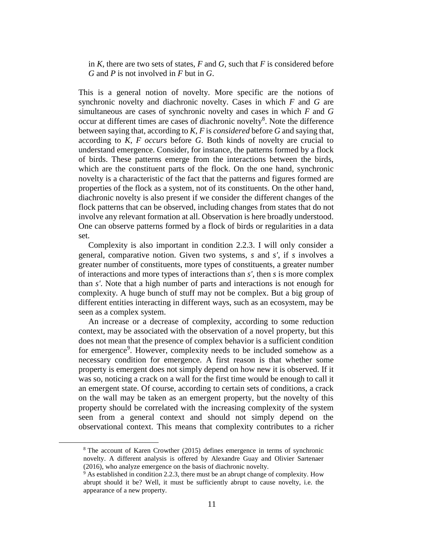in *K*, there are two sets of states, *F* and *G*, such that *F* is considered before *G* and *P* is not involved in *F* but in *G*.

This is a general notion of novelty. More specific are the notions of synchronic novelty and diachronic novelty. Cases in which *F* and *G* are simultaneous are cases of synchronic novelty and cases in which *F* and *G* occur at different times are cases of diachronic novelty<sup>8</sup>. Note the difference between saying that, according to *K*, *F* is *considered* before *G* and saying that, according to *K*, *F occurs* before *G*. Both kinds of novelty are crucial to understand emergence. Consider, for instance, the patterns formed by a flock of birds. These patterns emerge from the interactions between the birds, which are the constituent parts of the flock. On the one hand, synchronic novelty is a characteristic of the fact that the patterns and figures formed are properties of the flock as a system, not of its constituents. On the other hand, diachronic novelty is also present if we consider the different changes of the flock patterns that can be observed, including changes from states that do not involve any relevant formation at all. Observation is here broadly understood. One can observe patterns formed by a flock of birds or regularities in a data set.

Complexity is also important in condition 2.2.3. I will only consider a general, comparative notion. Given two systems, *s* and *s'*, if *s* involves a greater number of constituents, more types of constituents, a greater number of interactions and more types of interactions than *s'*, then *s* is more complex than *s'*. Note that a high number of parts and interactions is not enough for complexity. A huge bunch of stuff may not be complex. But a big group of different entities interacting in different ways, such as an ecosystem, may be seen as a complex system.

An increase or a decrease of complexity, according to some reduction context, may be associated with the observation of a novel property, but this does not mean that the presence of complex behavior is a sufficient condition for emergence<sup>9</sup>. However, complexity needs to be included somehow as a necessary condition for emergence. A first reason is that whether some property is emergent does not simply depend on how new it is observed. If it was so, noticing a crack on a wall for the first time would be enough to call it an emergent state. Of course, according to certain sets of conditions, a crack on the wall may be taken as an emergent property, but the novelty of this property should be correlated with the increasing complexity of the system seen from a general context and should not simply depend on the observational context. This means that complexity contributes to a richer

<sup>8</sup> The account of Karen Crowther (2015) defines emergence in terms of synchronic novelty. A different analysis is offered by Alexandre Guay and Olivier Sartenaer (2016), who analyze emergence on the basis of diachronic novelty.

<sup>&</sup>lt;sup>9</sup> As established in condition 2.2.3, there must be an abrupt change of complexity. How abrupt should it be? Well, it must be sufficiently abrupt to cause novelty, i.e. the appearance of a new property.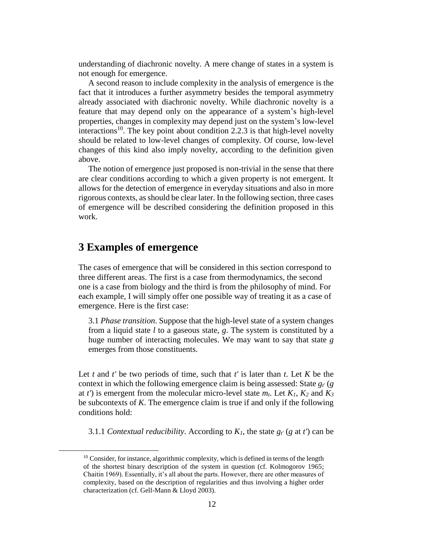understanding of diachronic novelty. A mere change of states in a system is not enough for emergence.

A second reason to include complexity in the analysis of emergence is the fact that it introduces a further asymmetry besides the temporal asymmetry already associated with diachronic novelty. While diachronic novelty is a feature that may depend only on the appearance of a system's high-level properties, changes in complexity may depend just on the system's low-level interactions<sup>10</sup>. The key point about condition 2.2.3 is that high-level novelty should be related to low-level changes of complexity. Of course, low-level changes of this kind also imply novelty, according to the definition given above.

The notion of emergence just proposed is non-trivial in the sense that there are clear conditions according to which a given property is not emergent. It allows for the detection of emergence in everyday situations and also in more rigorous contexts, as should be clear later. In the following section, three cases of emergence will be described considering the definition proposed in this work.

# **3 Examples of emergence**

 $\overline{a}$ 

The cases of emergence that will be considered in this section correspond to three different areas. The first is a case from thermodynamics, the second one is a case from biology and the third is from the philosophy of mind. For each example, I will simply offer one possible way of treating it as a case of emergence. Here is the first case:

3.1 *Phase transition*. Suppose that the high-level state of a system changes from a liquid state *l* to a gaseous state, *g*. The system is constituted by a huge number of interacting molecules. We may want to say that state *g* emerges from those constituents.

Let *t* and *t'* be two periods of time, such that *t'* is later than *t*. Let *K* be the context in which the following emergence claim is being assessed: State *gt'* (*g* at *t*) is emergent from the molecular micro-level state  $m_t$ . Let  $K_1$ ,  $K_2$  and  $K_3$ be subcontexts of *K*. The emergence claim is true if and only if the following conditions hold:

3.1.1 *Contextual reducibility*. According to  $K_I$ , the state  $g_t$ <sup>*'*</sup> (*g* at *t*<sup>'</sup>) can be

<sup>&</sup>lt;sup>10</sup> Consider, for instance, algorithmic complexity, which is defined in terms of the length of the shortest binary description of the system in question (cf. Kolmogorov 1965; Chaitin 1969). Essentially, it's all about the parts. However, there are other measures of complexity, based on the description of regularities and thus involving a higher order characterization (cf. Gell-Mann & Lloyd 2003).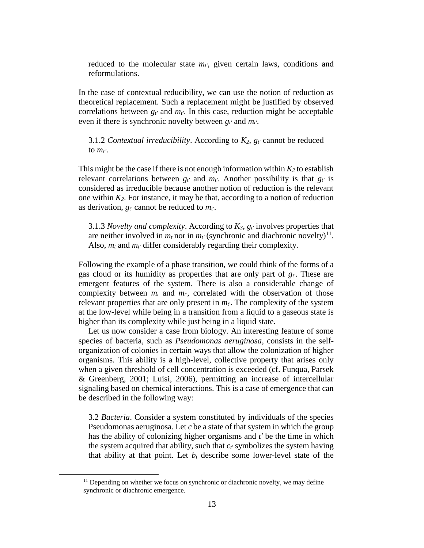reduced to the molecular state *mt'*, given certain laws, conditions and reformulations.

In the case of contextual reducibility, we can use the notion of reduction as theoretical replacement. Such a replacement might be justified by observed correlations between  $g_t$ <sup>*t*</sup> and  $m_t$ <sup>*t*</sup>. In this case, reduction might be acceptable even if there is synchronic novelty between *gt'* and *mt'*.

3.1.2 *Contextual irreducibility*. According to *K2*, *gt'* cannot be reduced to *mt'*.

This might be the case if there is not enough information within  $K_2$  to establish relevant correlations between  $g_t$ <sup>*t*</sup> and  $m_t$ <sup>*t*</sup>. Another possibility is that  $g_t$ <sup>*t*</sup> is considered as irreducible because another notion of reduction is the relevant one within *K2*. For instance, it may be that, according to a notion of reduction as derivation, *gt'* cannot be reduced to *mt'*.

3.1.3 *Novelty and complexity*. According to *K3*, *gt'* involves properties that are neither involved in  $m_t$  nor in  $m_{t'}$  (synchronic and diachronic novelty)<sup>11</sup>. Also, *m<sup>t</sup>* and *mt'* differ considerably regarding their complexity.

Following the example of a phase transition, we could think of the forms of a gas cloud or its humidity as properties that are only part of *gt'*. These are emergent features of the system. There is also a considerable change of complexity between  $m_t$  and  $m_t$ <sup>'</sup>, correlated with the observation of those relevant properties that are only present in *mt'*. The complexity of the system at the low-level while being in a transition from a liquid to a gaseous state is higher than its complexity while just being in a liquid state.

Let us now consider a case from biology. An interesting feature of some species of bacteria, such as *Pseudomonas aeruginosa*, consists in the selforganization of colonies in certain ways that allow the colonization of higher organisms. This ability is a high-level, collective property that arises only when a given threshold of cell concentration is exceeded (cf. Funqua, Parsek & Greenberg, 2001; Luisi, 2006), permitting an increase of intercellular signaling based on chemical interactions. This is a case of emergence that can be described in the following way:

3.2 *Bacteria*. Consider a system constituted by individuals of the species Pseudomonas aeruginosa. Let *c* be a state of that system in which the group has the ability of colonizing higher organisms and *t'* be the time in which the system acquired that ability, such that *ct'* symbolizes the system having that ability at that point. Let  $b_t$  describe some lower-level state of the

 $11$  Depending on whether we focus on synchronic or diachronic novelty, we may define synchronic or diachronic emergence.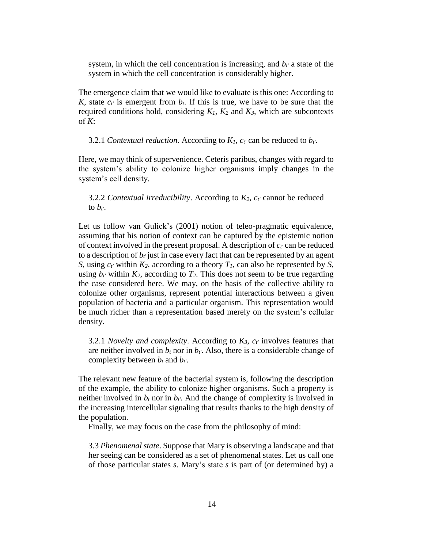system, in which the cell concentration is increasing, and *bt'* a state of the system in which the cell concentration is considerably higher.

The emergence claim that we would like to evaluate is this one: According to *K*, state  $c_t$  is emergent from  $b_t$ . If this is true, we have to be sure that the required conditions hold, considering  $K_I$ ,  $K_2$  and  $K_3$ , which are subcontexts of *K*:

3.2.1 *Contextual reduction*. According to *K1*, *ct'* can be reduced to *bt'*.

Here, we may think of supervenience. Ceteris paribus, changes with regard to the system's ability to colonize higher organisms imply changes in the system's cell density.

3.2.2 *Contextual irreducibility*. According to  $K_2$ ,  $c_t$  cannot be reduced to  $b_t$ .

Let us follow van Gulick's (2001) notion of teleo-pragmatic equivalence, assuming that his notion of context can be captured by the epistemic notion of context involved in the present proposal. A description of *ct'* can be reduced to a description of  $b_t$  just in case every fact that can be represented by an agent *S*, using *ct'* within *K2*, according to a theory *T1*, can also be represented by *S*, using  $b_t$ <sup>*t*</sup> within  $K_2$ , according to  $T_2$ . This does not seem to be true regarding the case considered here. We may, on the basis of the collective ability to colonize other organisms, represent potential interactions between a given population of bacteria and a particular organism. This representation would be much richer than a representation based merely on the system's cellular density.

3.2.1 *Novelty and complexity*. According to *K3*, *ct'* involves features that are neither involved in  $b_t$  nor in  $b_t$ <sup>r</sup>. Also, there is a considerable change of complexity between  $b_t$  and  $b_t$ .

The relevant new feature of the bacterial system is, following the description of the example, the ability to colonize higher organisms. Such a property is neither involved in  $b_t$  nor in  $b_t$ . And the change of complexity is involved in the increasing intercellular signaling that results thanks to the high density of the population.

Finally, we may focus on the case from the philosophy of mind:

3.3 *Phenomenal state*. Suppose that Mary is observing a landscape and that her seeing can be considered as a set of phenomenal states. Let us call one of those particular states *s*. Mary's state *s* is part of (or determined by) a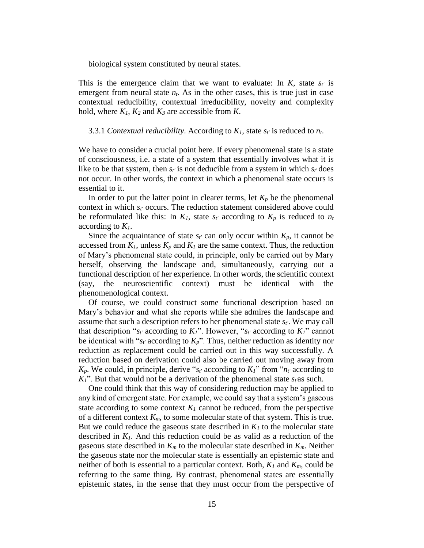biological system constituted by neural states.

This is the emergence claim that we want to evaluate: In *K*, state *st'* is emergent from neural state  $n_t$ . As in the other cases, this is true just in case contextual reducibility, contextual irreducibility, novelty and complexity hold, where *K1*, *K<sup>2</sup>* and *K<sup>3</sup>* are accessible from *K*.

#### 3.3.1 *Contextual reducibility*. According to  $K_I$ , state  $s_t$  is reduced to  $n_t$ .

We have to consider a crucial point here. If every phenomenal state is a state of consciousness, i.e. a state of a system that essentially involves what it is like to be that system, then  $s_t$  is not deducible from a system in which  $s_t$  does not occur. In other words, the context in which a phenomenal state occurs is essential to it.

In order to put the latter point in clearer terms, let  $K_p$  be the phenomenal context in which *st'* occurs. The reduction statement considered above could be reformulated like this: In  $K_l$ , state  $s_t$  according to  $K_p$  is reduced to  $n_t$ according to *K1*.

Since the acquaintance of state  $s_t$  can only occur within  $K_p$ , it cannot be accessed from  $K_I$ , unless  $K_p$  and  $K_I$  are the same context. Thus, the reduction of Mary's phenomenal state could, in principle, only be carried out by Mary herself, observing the landscape and, simultaneously, carrying out a functional description of her experience. In other words, the scientific context (say, the neuroscientific context) must be identical with the phenomenological context.

Of course, we could construct some functional description based on Mary's behavior and what she reports while she admires the landscape and assume that such a description refers to her phenomenal state *st'*. We may call that description " $s_f$ ' according to  $K_I$ ". However, " $s_f$ ' according to  $K_I$ " cannot be identical with " $s_t$ ' according to  $K_p$ ". Thus, neither reduction as identity nor reduction as replacement could be carried out in this way successfully. A reduction based on derivation could also be carried out moving away from  $K_p$ . We could, in principle, derive " $s_t$ ' according to  $K_l$ " from " $n_t$ ' according to *K1*". But that would not be a derivation of the phenomenal state *st'*as such.

One could think that this way of considering reduction may be applied to any kind of emergent state. For example, we could say that a system's gaseous state according to some context  $K_I$  cannot be reduced, from the perspective of a different context *Km*, to some molecular state of that system. This is true. But we could reduce the gaseous state described in  $K_I$  to the molecular state described in *K1*. And this reduction could be as valid as a reduction of the gaseous state described in *K<sup>m</sup>* to the molecular state described in *Km*. Neither the gaseous state nor the molecular state is essentially an epistemic state and neither of both is essential to a particular context. Both, *K<sup>1</sup>* and *Km*, could be referring to the same thing. By contrast, phenomenal states are essentially epistemic states, in the sense that they must occur from the perspective of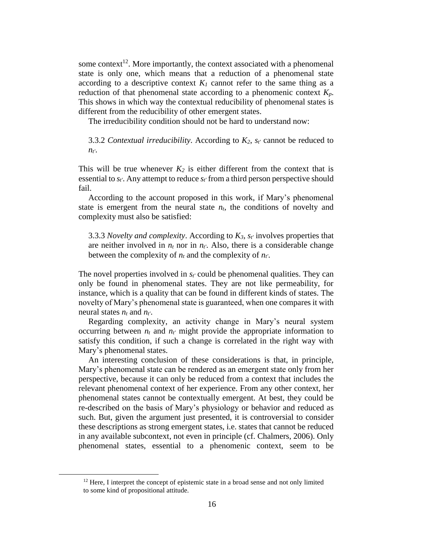some context<sup>12</sup>. More importantly, the context associated with a phenomenal state is only one, which means that a reduction of a phenomenal state according to a descriptive context  $K_I$  cannot refer to the same thing as a reduction of that phenomenal state according to a phenomenic context  $K_p$ . This shows in which way the contextual reducibility of phenomenal states is different from the reducibility of other emergent states.

The irreducibility condition should not be hard to understand now:

3.3.2 *Contextual irreducibility*. According to *K2*, *st'* cannot be reduced to *nt'*.

This will be true whenever  $K_2$  is either different from the context that is essential to *st'*. Any attempt to reduce *st'* from a third person perspective should fail.

According to the account proposed in this work, if Mary's phenomenal state is emergent from the neural state  $n_t$ , the conditions of novelty and complexity must also be satisfied:

3.3.3 *Novelty and complexity*. According to *K3*, *st'* involves properties that are neither involved in  $n_t$  nor in  $n_t$ . Also, there is a considerable change between the complexity of  $n_t$  and the complexity of  $n_t$ .

The novel properties involved in *st'* could be phenomenal qualities. They can only be found in phenomenal states. They are not like permeability, for instance, which is a quality that can be found in different kinds of states. The novelty of Mary's phenomenal state is guaranteed, when one compares it with neural states  $n_t$  and  $n_t$ <sup>'</sup>.

Regarding complexity, an activity change in Mary's neural system occurring between  $n_t$  and  $n_t$ ' might provide the appropriate information to satisfy this condition, if such a change is correlated in the right way with Mary's phenomenal states.

An interesting conclusion of these considerations is that, in principle, Mary's phenomenal state can be rendered as an emergent state only from her perspective, because it can only be reduced from a context that includes the relevant phenomenal context of her experience. From any other context, her phenomenal states cannot be contextually emergent. At best, they could be re-described on the basis of Mary's physiology or behavior and reduced as such. But, given the argument just presented, it is controversial to consider these descriptions as strong emergent states, i.e. states that cannot be reduced in any available subcontext, not even in principle (cf. Chalmers, 2006). Only phenomenal states, essential to a phenomenic context, seem to be

 $12$  Here, I interpret the concept of epistemic state in a broad sense and not only limited to some kind of propositional attitude.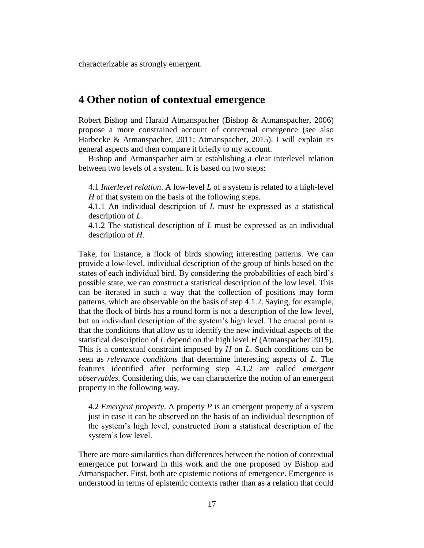characterizable as strongly emergent.

# **4 Other notion of contextual emergence**

Robert Bishop and Harald Atmanspacher (Bishop & Atmanspacher, 2006) propose a more constrained account of contextual emergence (see also Harbecke & Atmanspacher, 2011; Atmanspacher, 2015). I will explain its general aspects and then compare it briefly to my account.

Bishop and Atmanspacher aim at establishing a clear interlevel relation between two levels of a system. It is based on two steps:

4.1 *Interlevel relation*. A low-level *L* of a system is related to a high-level *H* of that system on the basis of the following steps.

4.1.1 An individual description of *L* must be expressed as a statistical description of *L*.

4.1.2 The statistical description of *L* must be expressed as an individual description of *H*.

Take, for instance, a flock of birds showing interesting patterns. We can provide a low-level, individual description of the group of birds based on the states of each individual bird. By considering the probabilities of each bird's possible state, we can construct a statistical description of the low level. This can be iterated in such a way that the collection of positions may form patterns, which are observable on the basis of step 4.1.2. Saying, for example, that the flock of birds has a round form is not a description of the low level, but an individual description of the system's high level. The crucial point is that the conditions that allow us to identify the new individual aspects of the statistical description of *L* depend on the high level *H* (Atmanspacher 2015). This is a contextual constraint imposed by *H* on *L*. Such conditions can be seen as *relevance conditions* that determine interesting aspects of *L*. The features identified after performing step 4.1.2 are called *emergent observables*. Considering this, we can characterize the notion of an emergent property in the following way.

4.2 *Emergent property*. A property *P* is an emergent property of a system just in case it can be observed on the basis of an individual description of the system's high level, constructed from a statistical description of the system's low level.

There are more similarities than differences between the notion of contextual emergence put forward in this work and the one proposed by Bishop and Atmanspacher. First, both are epistemic notions of emergence. Emergence is understood in terms of epistemic contexts rather than as a relation that could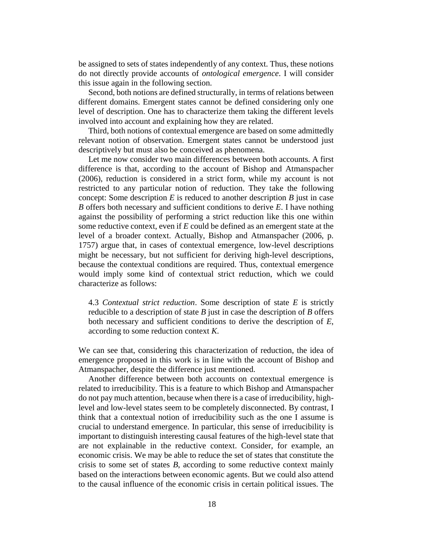be assigned to sets of states independently of any context. Thus, these notions do not directly provide accounts of *ontological emergence*. I will consider this issue again in the following section.

Second, both notions are defined structurally, in terms of relations between different domains. Emergent states cannot be defined considering only one level of description. One has to characterize them taking the different levels involved into account and explaining how they are related.

Third, both notions of contextual emergence are based on some admittedly relevant notion of observation. Emergent states cannot be understood just descriptively but must also be conceived as phenomena.

Let me now consider two main differences between both accounts. A first difference is that, according to the account of Bishop and Atmanspacher (2006), reduction is considered in a strict form, while my account is not restricted to any particular notion of reduction. They take the following concept: Some description *E* is reduced to another description *B* just in case *B* offers both necessary and sufficient conditions to derive *E*. I have nothing against the possibility of performing a strict reduction like this one within some reductive context, even if *E* could be defined as an emergent state at the level of a broader context. Actually, Bishop and Atmanspacher (2006, p. 1757) argue that, in cases of contextual emergence, low-level descriptions might be necessary, but not sufficient for deriving high-level descriptions, because the contextual conditions are required. Thus, contextual emergence would imply some kind of contextual strict reduction, which we could characterize as follows:

4.3 *Contextual strict reduction*. Some description of state *E* is strictly reducible to a description of state *B* just in case the description of *B* offers both necessary and sufficient conditions to derive the description of *E*, according to some reduction context *K*.

We can see that, considering this characterization of reduction, the idea of emergence proposed in this work is in line with the account of Bishop and Atmanspacher, despite the difference just mentioned.

Another difference between both accounts on contextual emergence is related to irreducibility. This is a feature to which Bishop and Atmanspacher do not pay much attention, because when there is a case of irreducibility, highlevel and low-level states seem to be completely disconnected. By contrast, I think that a contextual notion of irreducibility such as the one I assume is crucial to understand emergence. In particular, this sense of irreducibility is important to distinguish interesting causal features of the high-level state that are not explainable in the reductive context. Consider, for example, an economic crisis. We may be able to reduce the set of states that constitute the crisis to some set of states *B*, according to some reductive context mainly based on the interactions between economic agents. But we could also attend to the causal influence of the economic crisis in certain political issues. The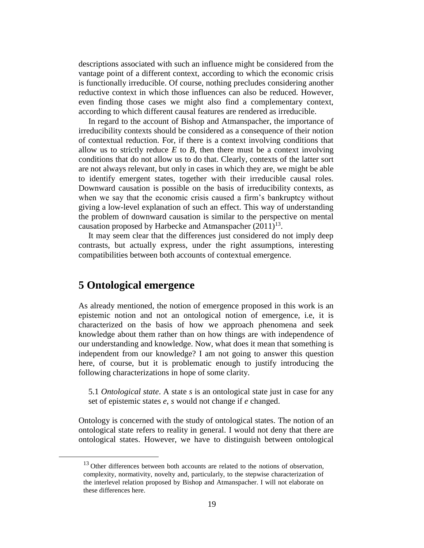descriptions associated with such an influence might be considered from the vantage point of a different context, according to which the economic crisis is functionally irreducible. Of course, nothing precludes considering another reductive context in which those influences can also be reduced. However, even finding those cases we might also find a complementary context, according to which different causal features are rendered as irreducible.

In regard to the account of Bishop and Atmanspacher, the importance of irreducibility contexts should be considered as a consequence of their notion of contextual reduction. For, if there is a context involving conditions that allow us to strictly reduce  $E$  to  $B$ , then there must be a context involving conditions that do not allow us to do that. Clearly, contexts of the latter sort are not always relevant, but only in cases in which they are, we might be able to identify emergent states, together with their irreducible causal roles. Downward causation is possible on the basis of irreducibility contexts, as when we say that the economic crisis caused a firm's bankruptcy without giving a low-level explanation of such an effect. This way of understanding the problem of downward causation is similar to the perspective on mental causation proposed by Harbecke and Atmanspacher  $(2011)^{13}$ .

It may seem clear that the differences just considered do not imply deep contrasts, but actually express, under the right assumptions, interesting compatibilities between both accounts of contextual emergence.

# **5 Ontological emergence**

 $\overline{a}$ 

As already mentioned, the notion of emergence proposed in this work is an epistemic notion and not an ontological notion of emergence, i.e, it is characterized on the basis of how we approach phenomena and seek knowledge about them rather than on how things are with independence of our understanding and knowledge. Now, what does it mean that something is independent from our knowledge? I am not going to answer this question here, of course, but it is problematic enough to justify introducing the following characterizations in hope of some clarity.

5.1 *Ontological state*. A state *s* is an ontological state just in case for any set of epistemic states *e*, *s* would not change if *e* changed.

Ontology is concerned with the study of ontological states. The notion of an ontological state refers to reality in general. I would not deny that there are ontological states. However, we have to distinguish between ontological

<sup>&</sup>lt;sup>13</sup> Other differences between both accounts are related to the notions of observation, complexity, normativity, novelty and, particularly, to the stepwise characterization of the interlevel relation proposed by Bishop and Atmanspacher. I will not elaborate on these differences here.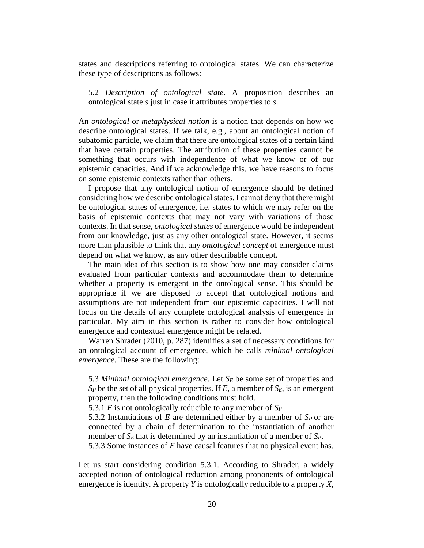states and descriptions referring to ontological states. We can characterize these type of descriptions as follows:

5.2 *Description of ontological state*. A proposition describes an ontological state *s* just in case it attributes properties to *s*.

An *ontological* or *metaphysical notion* is a notion that depends on how we describe ontological states. If we talk, e.g., about an ontological notion of subatomic particle, we claim that there are ontological states of a certain kind that have certain properties. The attribution of these properties cannot be something that occurs with independence of what we know or of our epistemic capacities. And if we acknowledge this, we have reasons to focus on some epistemic contexts rather than others.

I propose that any ontological notion of emergence should be defined considering how we describe ontological states. I cannot deny that there might be ontological states of emergence, i.e. states to which we may refer on the basis of epistemic contexts that may not vary with variations of those contexts. In that sense, *ontological states* of emergence would be independent from our knowledge, just as any other ontological state. However, it seems more than plausible to think that any *ontological concept* of emergence must depend on what we know, as any other describable concept.

The main idea of this section is to show how one may consider claims evaluated from particular contexts and accommodate them to determine whether a property is emergent in the ontological sense. This should be appropriate if we are disposed to accept that ontological notions and assumptions are not independent from our epistemic capacities. I will not focus on the details of any complete ontological analysis of emergence in particular. My aim in this section is rather to consider how ontological emergence and contextual emergence might be related.

Warren Shrader (2010, p. 287) identifies a set of necessary conditions for an ontological account of emergence, which he calls *minimal ontological emergence*. These are the following:

5.3 *Minimal ontological emergence*. Let *S<sup>E</sup>* be some set of properties and *S<sup>P</sup>* be the set of all physical properties. If *E*, a member of *SE*, is an emergent property, then the following conditions must hold.

5.3.1 *E* is not ontologically reducible to any member of *SP*.

5.3.2 Instantiations of *E* are determined either by a member of *SP* or are connected by a chain of determination to the instantiation of another member of  $S_E$  that is determined by an instantiation of a member of  $S_P$ .

5.3.3 Some instances of *E* have causal features that no physical event has.

Let us start considering condition 5.3.1. According to Shrader, a widely accepted notion of ontological reduction among proponents of ontological emergence is identity. A property *Y* is ontologically reducible to a property *X*,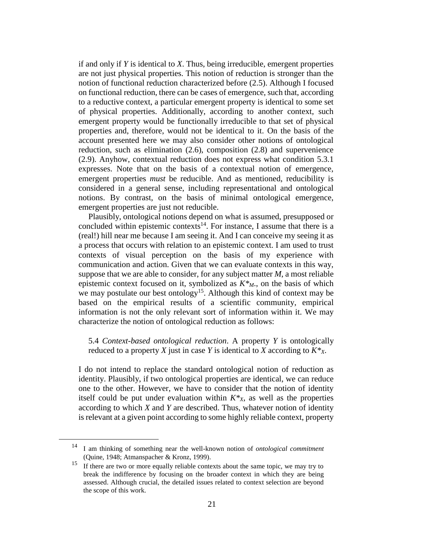if and only if *Y* is identical to *X*. Thus, being irreducible, emergent properties are not just physical properties. This notion of reduction is stronger than the notion of functional reduction characterized before (2.5). Although I focused on functional reduction, there can be cases of emergence, such that, according to a reductive context, a particular emergent property is identical to some set of physical properties. Additionally, according to another context, such emergent property would be functionally irreducible to that set of physical properties and, therefore, would not be identical to it. On the basis of the account presented here we may also consider other notions of ontological reduction, such as elimination (2.6), composition (2.8) and supervenience (2.9). Anyhow, contextual reduction does not express what condition 5.3.1 expresses. Note that on the basis of a contextual notion of emergence, emergent properties *must* be reducible. And as mentioned, reducibility is considered in a general sense, including representational and ontological notions. By contrast, on the basis of minimal ontological emergence, emergent properties are just not reducible.

Plausibly, ontological notions depend on what is assumed, presupposed or concluded within epistemic contexts<sup>14</sup>. For instance, I assume that there is a (real!) hill near me because I am seeing it. And I can conceive my seeing it as a process that occurs with relation to an epistemic context. I am used to trust contexts of visual perception on the basis of my experience with communication and action. Given that we can evaluate contexts in this way, suppose that we are able to consider, for any subject matter *M*, a most reliable epistemic context focused on it, symbolized as *K\*M*., on the basis of which we may postulate our best ontology<sup>15</sup>. Although this kind of context may be based on the empirical results of a scientific community, empirical information is not the only relevant sort of information within it. We may characterize the notion of ontological reduction as follows:

5.4 *Context-based ontological reduction*. A property *Y* is ontologically reduced to a property *X* just in case *Y* is identical to *X* according to *K\*X*.

I do not intend to replace the standard ontological notion of reduction as identity. Plausibly, if two ontological properties are identical, we can reduce one to the other. However, we have to consider that the notion of identity itself could be put under evaluation within  $K^*$ <sub>*X*</sub>, as well as the properties according to which *X* and *Y* are described. Thus, whatever notion of identity is relevant at a given point according to some highly reliable context, property

<sup>14</sup> I am thinking of something near the well-known notion of *ontological commitment* (Quine, 1948; Atmanspacher & Kronz, 1999).

<sup>&</sup>lt;sup>15</sup> If there are two or more equally reliable contexts about the same topic, we may try to break the indifference by focusing on the broader context in which they are being assessed. Although crucial, the detailed issues related to context selection are beyond the scope of this work.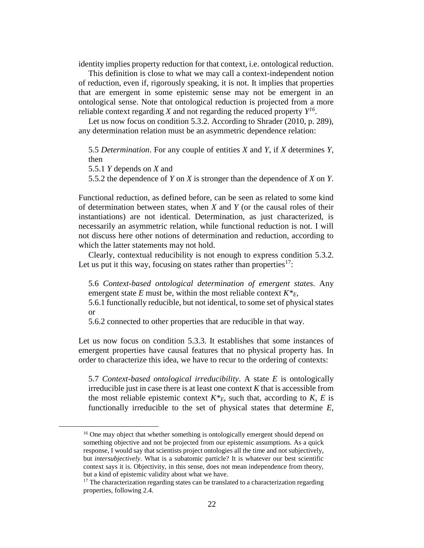identity implies property reduction for that context, i.e. ontological reduction.

This definition is close to what we may call a context-independent notion of reduction, even if, rigorously speaking, it is not. It implies that properties that are emergent in some epistemic sense may not be emergent in an ontological sense. Note that ontological reduction is projected from a more reliable context regarding *X* and not regarding the reduced property  $Y^{16}$ .

Let us now focus on condition 5.3.2. According to Shrader (2010, p. 289), any determination relation must be an asymmetric dependence relation:

5.5 *Determination*. For any couple of entities *X* and *Y*, if *X* determines *Y*, then

5.5.1 *Y* depends on *X* and

 $\overline{a}$ 

5.5.2 the dependence of *Y* on *X* is stronger than the dependence of *X* on *Y*.

Functional reduction, as defined before, can be seen as related to some kind of determination between states, when *X* and *Y* (or the causal roles of their instantiations) are not identical. Determination, as just characterized, is necessarily an asymmetric relation, while functional reduction is not. I will not discuss here other notions of determination and reduction, according to which the latter statements may not hold.

Clearly, contextual reducibility is not enough to express condition 5.3.2. Let us put it this way, focusing on states rather than properties<sup>17</sup>:

5.6 *Context-based ontological determination of emergent states*. Any emergent state *E* must be, within the most reliable context  $K^*_{E}$ ,

5.6.1 functionally reducible, but not identical, to some set of physical states or

5.6.2 connected to other properties that are reducible in that way.

Let us now focus on condition 5.3.3. It establishes that some instances of emergent properties have causal features that no physical property has. In order to characterize this idea, we have to recur to the ordering of contexts:

5.7 *Context-based ontological irreducibility*. A state *E* is ontologically irreducible just in case there is at least one context *K* that is accessible from the most reliable epistemic context  $K^*_{E}$ , such that, according to *K*, *E* is functionally irreducible to the set of physical states that determine *E*,

<sup>&</sup>lt;sup>16</sup> One may object that whether something is ontologically emergent should depend on something objective and not be projected from our epistemic assumptions. As a quick response, I would say that scientists project ontologies all the time and not subjectively, but *intersubjectively*. What is a subatomic particle? It is whatever our best scientific context says it is. Objectivity, in this sense, does not mean independence from theory, but a kind of epistemic validity about what we have.

 $17$  The characterization regarding states can be translated to a characterization regarding properties, following 2.4.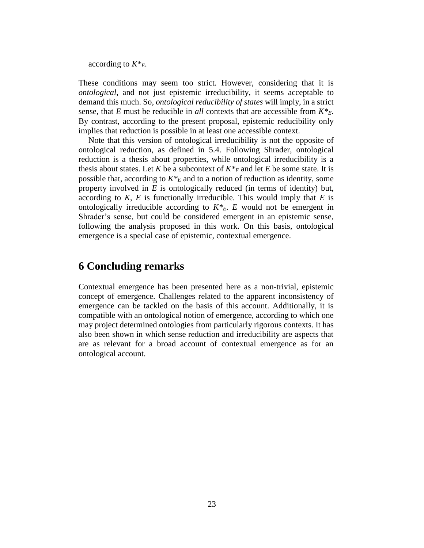according to *K\*E*.

These conditions may seem too strict. However, considering that it is *ontological*, and not just epistemic irreducibility, it seems acceptable to demand this much. So, *ontological reducibility of states* will imply, in a strict sense, that *E* must be reducible in *all* contexts that are accessible from *K\*E*. By contrast, according to the present proposal, epistemic reducibility only implies that reduction is possible in at least one accessible context.

Note that this version of ontological irreducibility is not the opposite of ontological reduction, as defined in 5.4. Following Shrader, ontological reduction is a thesis about properties, while ontological irreducibility is a thesis about states. Let *K* be a subcontext of  $K^*$ <sub>*E*</sub> and let *E* be some state. It is possible that, according to  $K^*$ <sub>*E*</sub> and to a notion of reduction as identity, some property involved in *E* is ontologically reduced (in terms of identity) but, according to  $K$ ,  $E$  is functionally irreducible. This would imply that  $E$  is ontologically irreducible according to  $K^*E$ . *E* would not be emergent in Shrader's sense, but could be considered emergent in an epistemic sense, following the analysis proposed in this work. On this basis, ontological emergence is a special case of epistemic, contextual emergence.

## **6 Concluding remarks**

Contextual emergence has been presented here as a non-trivial, epistemic concept of emergence. Challenges related to the apparent inconsistency of emergence can be tackled on the basis of this account. Additionally, it is compatible with an ontological notion of emergence, according to which one may project determined ontologies from particularly rigorous contexts. It has also been shown in which sense reduction and irreducibility are aspects that are as relevant for a broad account of contextual emergence as for an ontological account.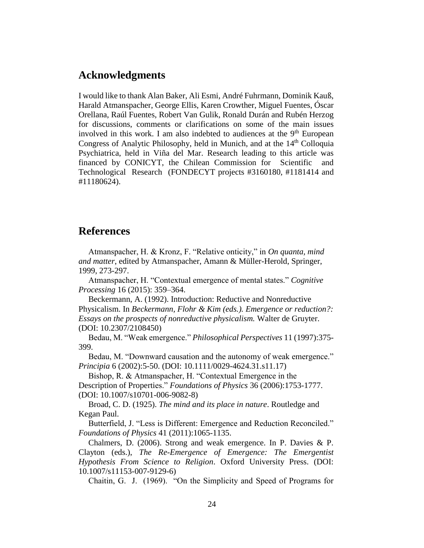### **Acknowledgments**

I would like to thank Alan Baker, Ali Esmi, André Fuhrmann, Dominik Kauß, Harald Atmanspacher, George Ellis, Karen Crowther, Miguel Fuentes, Óscar Orellana, Raúl Fuentes, Robert Van Gulik, Ronald Durán and Rubén Herzog for discussions, comments or clarifications on some of the main issues involved in this work. I am also indebted to audiences at the  $9<sup>th</sup>$  European Congress of Analytic Philosophy, held in Munich, and at the 14<sup>th</sup> Colloquia Psychiatrica, held in Viña del Mar. Research leading to this article was financed by CONICYT, the Chilean Commission for Scientific and Technological Research (FONDECYT projects #3160180, #1181414 and #11180624).

# **References**

Atmanspacher, H. & Kronz, F. "Relative onticity," in *On quanta, mind and matter*, edited by Atmanspacher, Amann & Müller-Herold, Springer, 1999, 273-297.

Atmanspacher, H. "Contextual emergence of mental states." *Cognitive Processing* 16 (2015): 359–364.

Beckermann, A. (1992). Introduction: Reductive and Nonreductive Physicalism. In *Beckermann, Flohr & Kim (eds.). Emergence or reduction?: Essays on the prospects of nonreductive physicalism.* Walter de Gruyter. (DOI: 10.2307/2108450)

Bedau, M. "Weak emergence." *Philosophical Perspectives* 11 (1997):375- 399.

Bedau, M. "Downward causation and the autonomy of weak emergence." *Principia* 6 (2002):5-50. (DOI: 10.1111/0029-4624.31.s11.17)

Bishop, R. & Atmanspacher, H. "Contextual Emergence in the Description of Properties." *Foundations of Physics* 36 (2006):1753-1777. (DOI: 10.1007/s10701-006-9082-8)

Broad, C. D. (1925). *The mind and its place in nature*. Routledge and Kegan Paul.

Butterfield, J. "Less is Different: Emergence and Reduction Reconciled." *Foundations of Physics* 41 (2011):1065-1135.

Chalmers, D. (2006). Strong and weak emergence. In P. Davies & P. Clayton (eds.), *The Re-Emergence of Emergence: The Emergentist Hypothesis From Science to Religion*. Oxford University Press. (DOI: 10.1007/s11153-007-9129-6)

Chaitin, G. J. (1969). "On the Simplicity and Speed of Programs for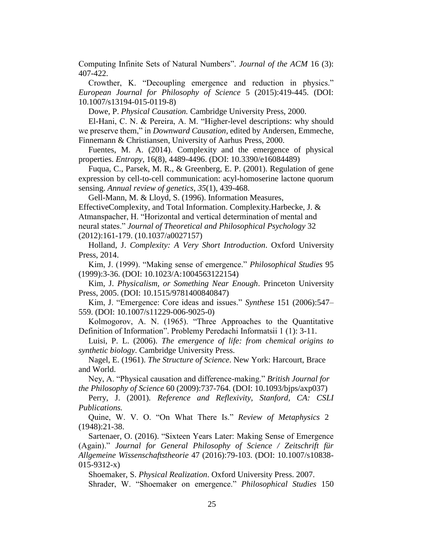Computing Infinite Sets of Natural Numbers". *Journal of the ACM* 16 (3): 407-422.

Crowther, K. "Decoupling emergence and reduction in physics." *European Journal for Philosophy of Science* 5 (2015):419-445. (DOI: 10.1007/s13194-015-0119-8)

Dowe, P. *Physical Causation.* Cambridge University Press, 2000.

El-Hani, C. N. & Pereira, A. M. "Higher-level descriptions: why should we preserve them," in *Downward Causation*, edited by Andersen, Emmeche, Finnemann & Christiansen, University of Aarhus Press, 2000.

Fuentes, M. A. (2014). Complexity and the emergence of physical properties. *Entropy*, 16(8), 4489-4496. (DOI: 10.3390/e16084489)

Fuqua, C., Parsek, M. R., & Greenberg, E. P. (2001). Regulation of gene expression by cell-to-cell communication: acyl-homoserine lactone quorum sensing. *Annual review of genetics*, *35*(1), 439-468.

Gell-Mann, M. & Lloyd, S. (1996). Information Measures, EffectiveComplexity, and Total Information. Complexity.Harbecke, J. & Atmanspacher, H. "Horizontal and vertical determination of mental and neural states." *Journal of Theoretical and Philosophical Psychology* 32 (2012):161-179. (10.1037/a0027157)

Holland, J. *Complexity: A Very Short Introduction*. Oxford University Press, 2014.

Kim, J. (1999). "Making sense of emergence." *Philosophical Studies* 95 (1999):3-36. (DOI: 10.1023/A:1004563122154)

Kim, J. *Physicalism, or Something Near Enough*. Princeton University Press, 2005. (DOI: 10.1515/9781400840847)

Kim, J. "Emergence: Core ideas and issues." *Synthese* 151 (2006):547– 559. (DOI: 10.1007/s11229-006-9025-0)

Kolmogorov, A. N. (1965). "Three Approaches to the Quantitative Definition of Information". Problemy Peredachi Informatsii 1 (1): 3-11.

Luisi, P. L. (2006). *The emergence of life: from chemical origins to synthetic biology*. Cambridge University Press.

Nagel, E. (1961). *The Structure of Science*. New York: Harcourt, Brace and World.

Ney, A. "Physical causation and difference-making." *British Journal for the Philosophy of Science* 60 (2009):737-764. (DOI: 10.1093/bjps/axp037)

Perry, J. (2001)*. Reference and Reflexivity, Stanford, CA: CSLI Publications.*

Quine, W. V. O. "On What There Is." *Review of Metaphysics* 2 (1948):21-38.

Sartenaer, O. (2016). "Sixteen Years Later: Making Sense of Emergence (Again)." *Journal for General Philosophy of Science / Zeitschrift für Allgemeine Wissenschaftstheorie* 47 (2016):79-103. (DOI: 10.1007/s10838- 015-9312-x)

Shoemaker, S. *Physical Realization*. Oxford University Press. 2007. Shrader, W. "Shoemaker on emergence." *Philosophical Studies* 150